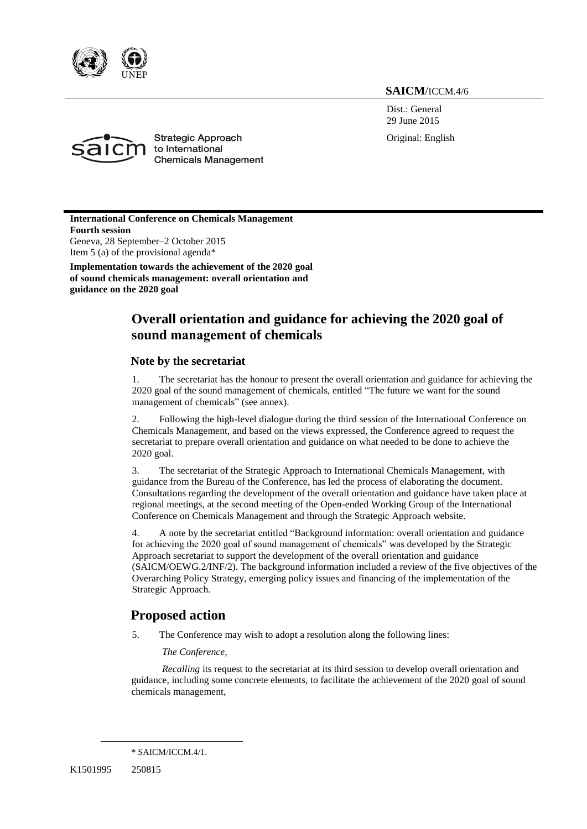

**SAICM**/ICCM.4/6

Dist.: General 29 June 2015





**Strategic Approach** to International **Chemicals Management** 

**International Conference on Chemicals Management Fourth session** Geneva, 28 September–2 October 2015 Item 5 (a) of the provisional agenda\*

**Implementation towards the achievement of the 2020 goal of sound chemicals management: overall orientation and guidance on the 2020 goal**

# **Overall orientation and guidance for achieving the 2020 goal of sound management of chemicals**

### **Note by the secretariat**

1. The secretariat has the honour to present the overall orientation and guidance for achieving the 2020 goal of the sound management of chemicals, entitled "The future we want for the sound management of chemicals" (see annex).

2. Following the high-level dialogue during the third session of the International Conference on Chemicals Management, and based on the views expressed, the Conference agreed to request the secretariat to prepare overall orientation and guidance on what needed to be done to achieve the 2020 goal.

3. The secretariat of the Strategic Approach to International Chemicals Management, with guidance from the Bureau of the Conference, has led the process of elaborating the document. Consultations regarding the development of the overall orientation and guidance have taken place at regional meetings, at the second meeting of the Open-ended Working Group of the International Conference on Chemicals Management and through the Strategic Approach website.

4. A note by the secretariat entitled "Background information: overall orientation and guidance for achieving the 2020 goal of sound management of chemicals" was developed by the Strategic Approach secretariat to support the development of the overall orientation and guidance (SAICM/OEWG.2/INF/2). The background information included a review of the five objectives of the Overarching Policy Strategy, emerging policy issues and financing of the implementation of the Strategic Approach.

# **Proposed action**

5. The Conference may wish to adopt a resolution along the following lines:

#### *The Conference,*

*Recalling* its request to the secretariat at its third session to develop overall orientation and guidance, including some concrete elements, to facilitate the achievement of the 2020 goal of sound chemicals management,

<sup>\*</sup> SAICM/ICCM.4/1.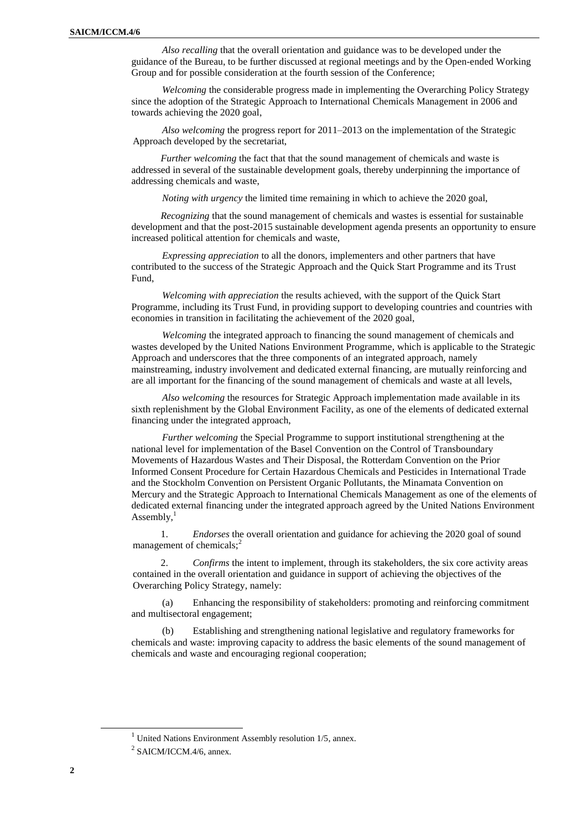*Also recalling* that the overall orientation and guidance was to be developed under the guidance of the Bureau, to be further discussed at regional meetings and by the Open-ended Working Group and for possible consideration at the fourth session of the Conference;

*Welcoming* the considerable progress made in implementing the Overarching Policy Strategy since the adoption of the Strategic Approach to International Chemicals Management in 2006 and towards achieving the 2020 goal,

*Also welcoming* the progress report for 2011–2013 on the implementation of the Strategic Approach developed by the secretariat,

*Further welcoming* the fact that that the sound management of chemicals and waste is addressed in several of the sustainable development goals, thereby underpinning the importance of addressing chemicals and waste,

*Noting with urgency* the limited time remaining in which to achieve the 2020 goal,

*Recognizing* that the sound management of chemicals and wastes is essential for sustainable development and that the post-2015 sustainable development agenda presents an opportunity to ensure increased political attention for chemicals and waste,

*Expressing appreciation* to all the donors, implementers and other partners that have contributed to the success of the Strategic Approach and the Quick Start Programme and its Trust Fund,

*Welcoming with appreciation* the results achieved, with the support of the Quick Start Programme, including its Trust Fund, in providing support to developing countries and countries with economies in transition in facilitating the achievement of the 2020 goal,

*Welcoming* the integrated approach to financing the sound management of chemicals and wastes developed by the United Nations Environment Programme, which is applicable to the Strategic Approach and underscores that the three components of an integrated approach, namely mainstreaming, industry involvement and dedicated external financing, are mutually reinforcing and are all important for the financing of the sound management of chemicals and waste at all levels,

*Also welcoming* the resources for Strategic Approach implementation made available in its sixth replenishment by the Global Environment Facility, as one of the elements of dedicated external financing under the integrated approach,

*Further welcoming* the Special Programme to support institutional strengthening at the national level for implementation of the Basel Convention on the Control of Transboundary Movements of Hazardous Wastes and Their Disposal, the Rotterdam Convention on the Prior Informed Consent Procedure for Certain Hazardous Chemicals and Pesticides in International Trade and the Stockholm Convention on Persistent Organic Pollutants, the Minamata Convention on Mercury and the Strategic Approach to International Chemicals Management as one of the elements of dedicated external financing under the integrated approach agreed by the United Nations Environment Assembly,<sup>1</sup>

1. *Endorses* the overall orientation and guidance for achieving the 2020 goal of sound management of chemicals;<sup>2</sup>

2. *Confirms* the intent to implement, through its stakeholders, the six core activity areas contained in the overall orientation and guidance in support of achieving the objectives of the Overarching Policy Strategy, namely:

(a) Enhancing the responsibility of stakeholders: promoting and reinforcing commitment and multisectoral engagement;

(b) Establishing and strengthening national legislative and regulatory frameworks for chemicals and waste: improving capacity to address the basic elements of the sound management of chemicals and waste and encouraging regional cooperation;

 $1$  United Nations Environment Assembly resolution 1/5, annex.

 $2$  SAICM/ICCM.4/6, annex.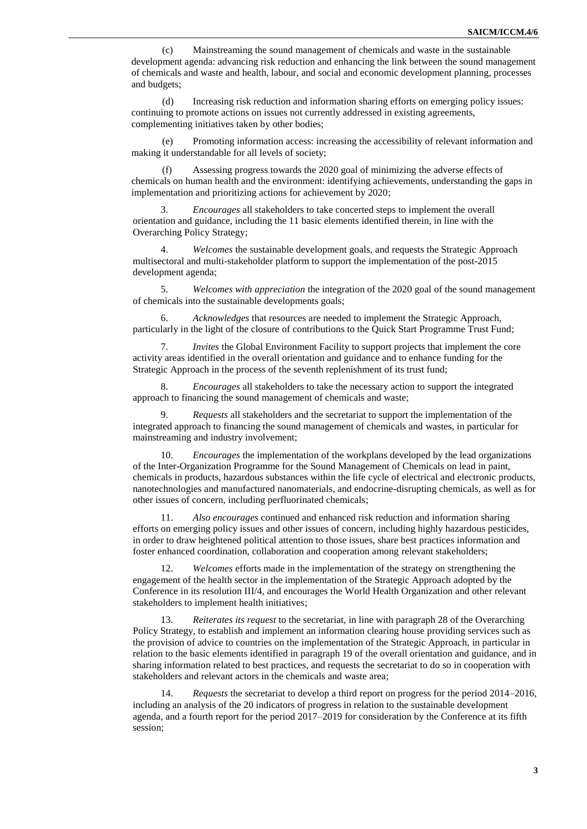(c) Mainstreaming the sound management of chemicals and waste in the sustainable development agenda: advancing risk reduction and enhancing the link between the sound management of chemicals and waste and health, labour, and social and economic development planning, processes and budgets;

(d) Increasing risk reduction and information sharing efforts on emerging policy issues: continuing to promote actions on issues not currently addressed in existing agreements, complementing initiatives taken by other bodies;

(e) Promoting information access: increasing the accessibility of relevant information and making it understandable for all levels of society;

Assessing progress towards the 2020 goal of minimizing the adverse effects of chemicals on human health and the environment: identifying achievements, understanding the gaps in implementation and prioritizing actions for achievement by 2020;

3. *Encourages* all stakeholders to take concerted steps to implement the overall orientation and guidance, including the 11 basic elements identified therein, in line with the Overarching Policy Strategy;

4. *Welcomes* the sustainable development goals, and requests the Strategic Approach multisectoral and multi-stakeholder platform to support the implementation of the post-2015 development agenda;

5. *Welcomes with appreciation* the integration of the 2020 goal of the sound management of chemicals into the sustainable developments goals;

6. *Acknowledges* that resources are needed to implement the Strategic Approach, particularly in the light of the closure of contributions to the Quick Start Programme Trust Fund;

7. *Invites* the Global Environment Facility to support projects that implement the core activity areas identified in the overall orientation and guidance and to enhance funding for the Strategic Approach in the process of the seventh replenishment of its trust fund;

8. *Encourages* all stakeholders to take the necessary action to support the integrated approach to financing the sound management of chemicals and waste;

9. *Requests* all stakeholders and the secretariat to support the implementation of the integrated approach to financing the sound management of chemicals and wastes, in particular for mainstreaming and industry involvement;

10. *Encourages* the implementation of the workplans developed by the lead organizations of the Inter-Organization Programme for the Sound Management of Chemicals on lead in paint, chemicals in products, hazardous substances within the life cycle of electrical and electronic products, nanotechnologies and manufactured nanomaterials, and endocrine-disrupting chemicals, as well as for other issues of concern, including perfluorinated chemicals;

11. *Also encourages* continued and enhanced risk reduction and information sharing efforts on emerging policy issues and other issues of concern, including highly hazardous pesticides, in order to draw heightened political attention to those issues, share best practices information and foster enhanced coordination, collaboration and cooperation among relevant stakeholders;

12. *Welcomes* efforts made in the implementation of the strategy on strengthening the engagement of the health sector in the implementation of the Strategic Approach adopted by the Conference in its resolution III/4, and encourages the World Health Organization and other relevant stakeholders to implement health initiatives;

13. *Reiterates its request* to the secretariat, in line with paragraph 28 of the Overarching Policy Strategy, to establish and implement an information clearing house providing services such as the provision of advice to countries on the implementation of the Strategic Approach, in particular in relation to the basic elements identified in paragraph 19 of the overall orientation and guidance, and in sharing information related to best practices, and requests the secretariat to do so in cooperation with stakeholders and relevant actors in the chemicals and waste area;

14. *Requests* the secretariat to develop a third report on progress for the period 2014–2016, including an analysis of the 20 indicators of progress in relation to the sustainable development agenda, and a fourth report for the period 2017–2019 for consideration by the Conference at its fifth session;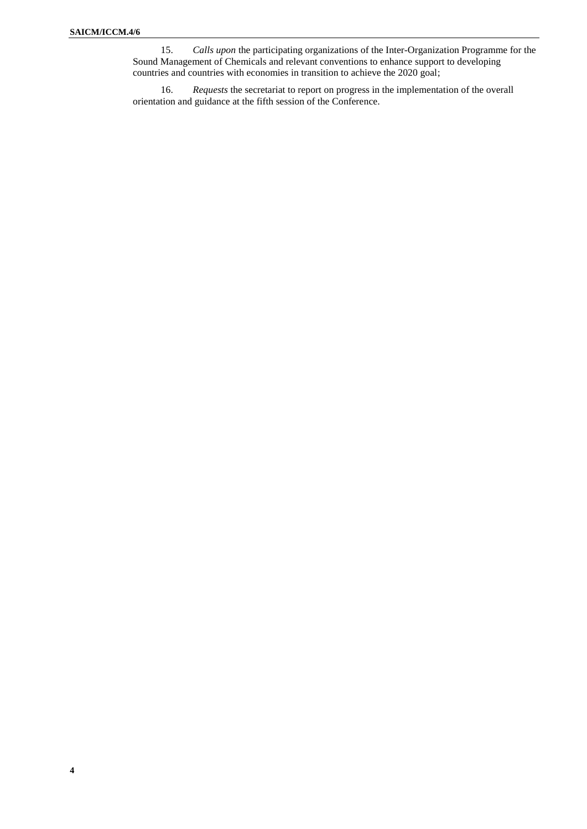15. *Calls upon* the participating organizations of the Inter-Organization Programme for the Sound Management of Chemicals and relevant conventions to enhance support to developing countries and countries with economies in transition to achieve the 2020 goal;

16. *Requests* the secretariat to report on progress in the implementation of the overall orientation and guidance at the fifth session of the Conference.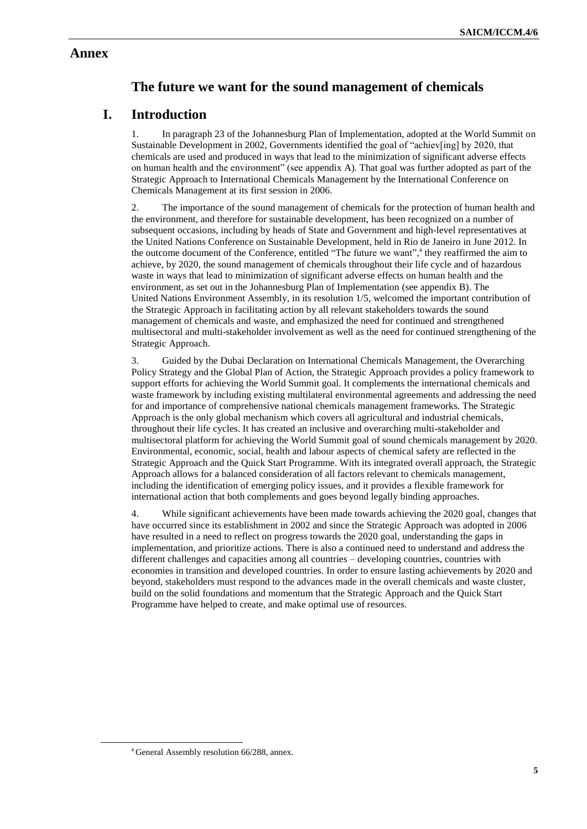# **The future we want for the sound management of chemicals**

## **I. Introduction**

1. In paragraph 23 of the Johannesburg Plan of Implementation, adopted at the World Summit on Sustainable Development in 2002, Governments identified the goal of "achiev[ing] by 2020, that chemicals are used and produced in ways that lead to the minimization of significant adverse effects on human health and the environment" (see appendix A). That goal was further adopted as part of the Strategic Approach to International Chemicals Management by the International Conference on Chemicals Management at its first session in 2006.

2. The importance of the sound management of chemicals for the protection of human health and the environment, and therefore for sustainable development, has been recognized on a number of subsequent occasions, including by heads of State and Government and high-level representatives at the United Nations Conference on Sustainable Development, held in Rio de Janeiro in June 2012. In the outcome document of the Conference, entitled "The future we want",<sup>a</sup> they reaffirmed the aim to achieve, by 2020, the sound management of chemicals throughout their life cycle and of hazardous waste in ways that lead to minimization of significant adverse effects on human health and the environment, as set out in the Johannesburg Plan of Implementation (see appendix B). The United Nations Environment Assembly, in its resolution 1/5, welcomed the important contribution of the Strategic Approach in facilitating action by all relevant stakeholders towards the sound management of chemicals and waste, and emphasized the need for continued and strengthened multisectoral and multi-stakeholder involvement as well as the need for continued strengthening of the Strategic Approach.

3. Guided by the Dubai Declaration on International Chemicals Management, the Overarching Policy Strategy and the Global Plan of Action, the Strategic Approach provides a policy framework to support efforts for achieving the World Summit goal. It complements the international chemicals and waste framework by including existing multilateral environmental agreements and addressing the need for and importance of comprehensive national chemicals management frameworks. The Strategic Approach is the only global mechanism which covers all agricultural and industrial chemicals, throughout their life cycles. It has created an inclusive and overarching multi-stakeholder and multisectoral platform for achieving the World Summit goal of sound chemicals management by 2020. Environmental, economic, social, health and labour aspects of chemical safety are reflected in the Strategic Approach and the Quick Start Programme. With its integrated overall approach, the Strategic Approach allows for a balanced consideration of all factors relevant to chemicals management, including the identification of emerging policy issues, and it provides a flexible framework for international action that both complements and goes beyond legally binding approaches.

4. While significant achievements have been made towards achieving the 2020 goal, changes that have occurred since its establishment in 2002 and since the Strategic Approach was adopted in 2006 have resulted in a need to reflect on progress towards the 2020 goal, understanding the gaps in implementation, and prioritize actions. There is also a continued need to understand and address the different challenges and capacities among all countries – developing countries, countries with economies in transition and developed countries. In order to ensure lasting achievements by 2020 and beyond, stakeholders must respond to the advances made in the overall chemicals and waste cluster, build on the solid foundations and momentum that the Strategic Approach and the Quick Start Programme have helped to create, and make optimal use of resources.

<sup>&</sup>lt;sup>a</sup> General Assembly resolution 66/288, annex.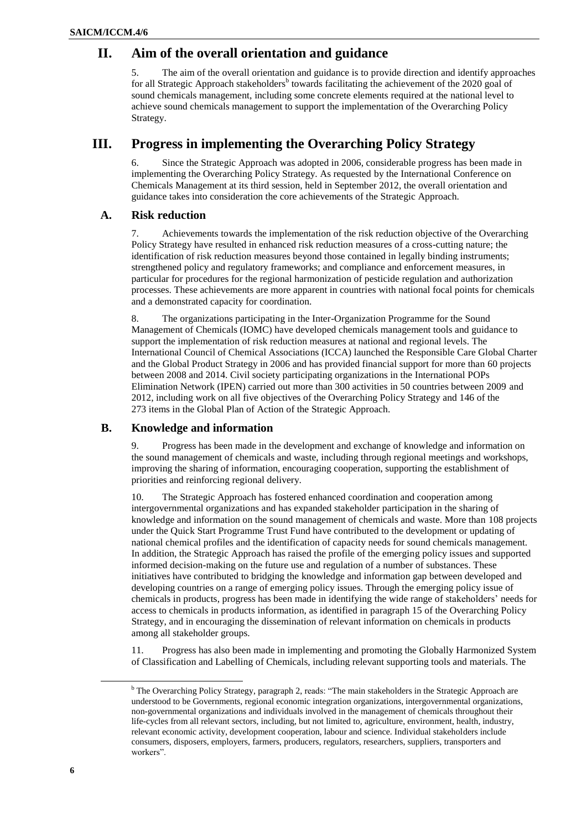# **II. Aim of the overall orientation and guidance**

5. The aim of the overall orientation and guidance is to provide direction and identify approaches for all Strategic Approach stakeholders<sup>b</sup> towards facilitating the achievement of the 2020 goal of sound chemicals management, including some concrete elements required at the national level to achieve sound chemicals management to support the implementation of the Overarching Policy Strategy.

# **III. Progress in implementing the Overarching Policy Strategy**

6. Since the Strategic Approach was adopted in 2006, considerable progress has been made in implementing the Overarching Policy Strategy. As requested by the International Conference on Chemicals Management at its third session, held in September 2012, the overall orientation and guidance takes into consideration the core achievements of the Strategic Approach.

### **A. Risk reduction**

7. Achievements towards the implementation of the risk reduction objective of the Overarching Policy Strategy have resulted in enhanced risk reduction measures of a cross-cutting nature; the identification of risk reduction measures beyond those contained in legally binding instruments; strengthened policy and regulatory frameworks; and compliance and enforcement measures, in particular for procedures for the regional harmonization of pesticide regulation and authorization processes. These achievements are more apparent in countries with national focal points for chemicals and a demonstrated capacity for coordination.

8. The organizations participating in the Inter-Organization Programme for the Sound Management of Chemicals (IOMC) have developed chemicals management tools and guidance to support the implementation of risk reduction measures at national and regional levels. The International Council of Chemical Associations (ICCA) launched the Responsible Care Global Charter and the Global Product Strategy in 2006 and has provided financial support for more than 60 projects between 2008 and 2014. Civil society participating organizations in the International POPs Elimination Network (IPEN) carried out more than 300 activities in 50 countries between 2009 and 2012, including work on all five objectives of the Overarching Policy Strategy and 146 of the 273 items in the Global Plan of Action of the Strategic Approach.

### **B. Knowledge and information**

9. Progress has been made in the development and exchange of knowledge and information on the sound management of chemicals and waste, including through regional meetings and workshops, improving the sharing of information, encouraging cooperation, supporting the establishment of priorities and reinforcing regional delivery.

10. The Strategic Approach has fostered enhanced coordination and cooperation among intergovernmental organizations and has expanded stakeholder participation in the sharing of knowledge and information on the sound management of chemicals and waste. More than 108 projects under the Quick Start Programme Trust Fund have contributed to the development or updating of national chemical profiles and the identification of capacity needs for sound chemicals management. In addition, the Strategic Approach has raised the profile of the emerging policy issues and supported informed decision-making on the future use and regulation of a number of substances. These initiatives have contributed to bridging the knowledge and information gap between developed and developing countries on a range of emerging policy issues. Through the emerging policy issue of chemicals in products, progress has been made in identifying the wide range of stakeholders' needs for access to chemicals in products information, as identified in paragraph 15 of the Overarching Policy Strategy, and in encouraging the dissemination of relevant information on chemicals in products among all stakeholder groups.

11. Progress has also been made in implementing and promoting the Globally Harmonized System of Classification and Labelling of Chemicals, including relevant supporting tools and materials. The

<sup>&</sup>lt;sup>b</sup> The Overarching Policy Strategy, paragraph 2, reads: "The main stakeholders in the Strategic Approach are understood to be Governments, regional economic integration organizations, intergovernmental organizations, non-governmental organizations and individuals involved in the management of chemicals throughout their life-cycles from all relevant sectors, including, but not limited to, agriculture, environment, health, industry, relevant economic activity, development cooperation, labour and science. Individual stakeholders include consumers, disposers, employers, farmers, producers, regulators, researchers, suppliers, transporters and workers".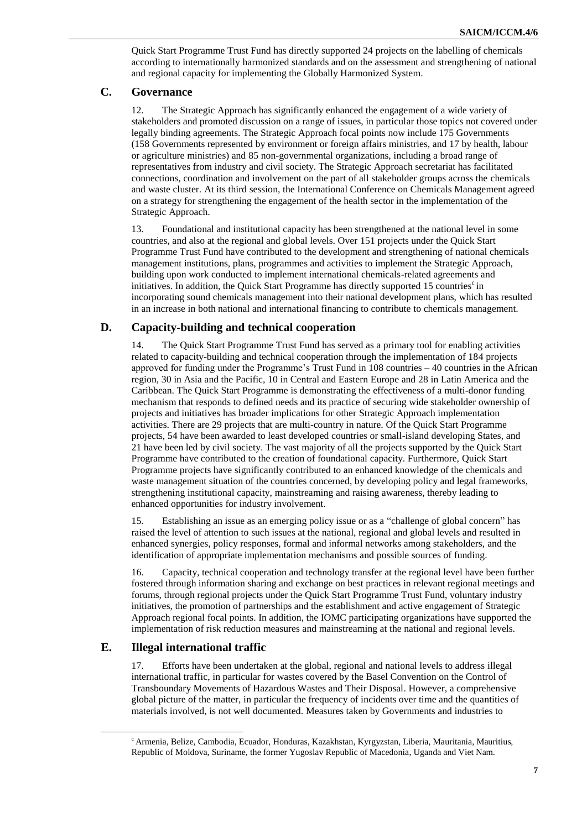Quick Start Programme Trust Fund has directly supported 24 projects on the labelling of chemicals according to internationally harmonized standards and on the assessment and strengthening of national and regional capacity for implementing the Globally Harmonized System.

### **C. Governance**

12. The Strategic Approach has significantly enhanced the engagement of a wide variety of stakeholders and promoted discussion on a range of issues, in particular those topics not covered under legally binding agreements. The Strategic Approach focal points now include 175 Governments (158 Governments represented by environment or foreign affairs ministries, and 17 by health, labour or agriculture ministries) and 85 non-governmental organizations, including a broad range of representatives from industry and civil society. The Strategic Approach secretariat has facilitated connections, coordination and involvement on the part of all stakeholder groups across the chemicals and waste cluster. At its third session, the International Conference on Chemicals Management agreed on a strategy for strengthening the engagement of the health sector in the implementation of the Strategic Approach.

13. Foundational and institutional capacity has been strengthened at the national level in some countries, and also at the regional and global levels. Over 151 projects under the Quick Start Programme Trust Fund have contributed to the development and strengthening of national chemicals management institutions, plans, programmes and activities to implement the Strategic Approach, building upon work conducted to implement international chemicals-related agreements and initiatives. In addition, the Quick Start Programme has directly supported 15 countries<sup>c</sup> in incorporating sound chemicals management into their national development plans, which has resulted in an increase in both national and international financing to contribute to chemicals management.

#### **D. Capacity-building and technical cooperation**

14. The Quick Start Programme Trust Fund has served as a primary tool for enabling activities related to capacity-building and technical cooperation through the implementation of 184 projects approved for funding under the Programme's Trust Fund in 108 countries – 40 countries in the African region, 30 in Asia and the Pacific, 10 in Central and Eastern Europe and 28 in Latin America and the Caribbean. The Quick Start Programme is demonstrating the effectiveness of a multi-donor funding mechanism that responds to defined needs and its practice of securing wide stakeholder ownership of projects and initiatives has broader implications for other Strategic Approach implementation activities. There are 29 projects that are multi-country in nature. Of the Quick Start Programme projects, 54 have been awarded to least developed countries or small-island developing States, and 21 have been led by civil society. The vast majority of all the projects supported by the Quick Start Programme have contributed to the creation of foundational capacity. Furthermore, Quick Start Programme projects have significantly contributed to an enhanced knowledge of the chemicals and waste management situation of the countries concerned, by developing policy and legal frameworks, strengthening institutional capacity, mainstreaming and raising awareness, thereby leading to enhanced opportunities for industry involvement.

15. Establishing an issue as an emerging policy issue or as a "challenge of global concern" has raised the level of attention to such issues at the national, regional and global levels and resulted in enhanced synergies, policy responses, formal and informal networks among stakeholders, and the identification of appropriate implementation mechanisms and possible sources of funding.

16. Capacity, technical cooperation and technology transfer at the regional level have been further fostered through information sharing and exchange on best practices in relevant regional meetings and forums, through regional projects under the Quick Start Programme Trust Fund, voluntary industry initiatives, the promotion of partnerships and the establishment and active engagement of Strategic Approach regional focal points. In addition, the IOMC participating organizations have supported the implementation of risk reduction measures and mainstreaming at the national and regional levels.

### **E. Illegal international traffic**

 $\overline{a}$ 

17. Efforts have been undertaken at the global, regional and national levels to address illegal international traffic, in particular for wastes covered by the Basel Convention on the Control of Transboundary Movements of Hazardous Wastes and Their Disposal. However, a comprehensive global picture of the matter, in particular the frequency of incidents over time and the quantities of materials involved, is not well documented. Measures taken by Governments and industries to

<sup>c</sup> Armenia, Belize, Cambodia, Ecuador, Honduras, Kazakhstan, Kyrgyzstan, Liberia, Mauritania, Mauritius, Republic of Moldova, Suriname, the former Yugoslav Republic of Macedonia, Uganda and Viet Nam.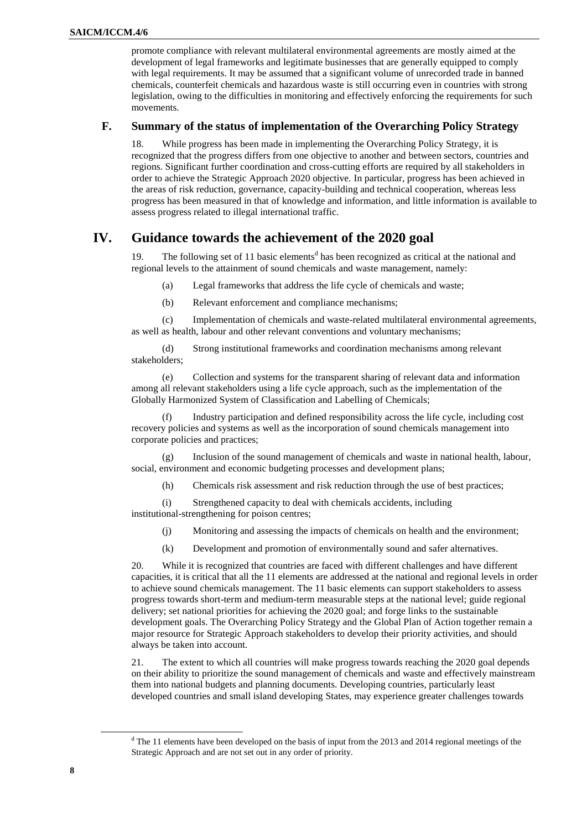promote compliance with relevant multilateral environmental agreements are mostly aimed at the development of legal frameworks and legitimate businesses that are generally equipped to comply with legal requirements. It may be assumed that a significant volume of unrecorded trade in banned chemicals, counterfeit chemicals and hazardous waste is still occurring even in countries with strong legislation, owing to the difficulties in monitoring and effectively enforcing the requirements for such movements.

## **F. Summary of the status of implementation of the Overarching Policy Strategy**

18. While progress has been made in implementing the Overarching Policy Strategy, it is recognized that the progress differs from one objective to another and between sectors, countries and regions. Significant further coordination and cross-cutting efforts are required by all stakeholders in order to achieve the Strategic Approach 2020 objective. In particular, progress has been achieved in the areas of risk reduction, governance, capacity-building and technical cooperation, whereas less progress has been measured in that of knowledge and information, and little information is available to assess progress related to illegal international traffic.

# **IV. Guidance towards the achievement of the 2020 goal**

19. The following set of 11 basic elements<sup>d</sup> has been recognized as critical at the national and regional levels to the attainment of sound chemicals and waste management, namely:

- (a) Legal frameworks that address the life cycle of chemicals and waste;
- (b) Relevant enforcement and compliance mechanisms;

(c) Implementation of chemicals and waste-related multilateral environmental agreements, as well as health, labour and other relevant conventions and voluntary mechanisms;

(d) Strong institutional frameworks and coordination mechanisms among relevant stakeholders;

(e) Collection and systems for the transparent sharing of relevant data and information among all relevant stakeholders using a life cycle approach, such as the implementation of the Globally Harmonized System of Classification and Labelling of Chemicals;

Industry participation and defined responsibility across the life cycle, including cost recovery policies and systems as well as the incorporation of sound chemicals management into corporate policies and practices;

(g) Inclusion of the sound management of chemicals and waste in national health, labour, social, environment and economic budgeting processes and development plans;

(h) Chemicals risk assessment and risk reduction through the use of best practices;

(i) Strengthened capacity to deal with chemicals accidents, including institutional-strengthening for poison centres;

- (j) Monitoring and assessing the impacts of chemicals on health and the environment;
- (k) Development and promotion of environmentally sound and safer alternatives.

20. While it is recognized that countries are faced with different challenges and have different capacities, it is critical that all the 11 elements are addressed at the national and regional levels in order to achieve sound chemicals management. The 11 basic elements can support stakeholders to assess progress towards short-term and medium-term measurable steps at the national level; guide regional delivery; set national priorities for achieving the 2020 goal; and forge links to the sustainable development goals. The Overarching Policy Strategy and the Global Plan of Action together remain a major resource for Strategic Approach stakeholders to develop their priority activities, and should always be taken into account.

21. The extent to which all countries will make progress towards reaching the 2020 goal depends on their ability to prioritize the sound management of chemicals and waste and effectively mainstream them into national budgets and planning documents. Developing countries, particularly least developed countries and small island developing States, may experience greater challenges towards

<sup>&</sup>lt;sup>d</sup> The 11 elements have been developed on the basis of input from the 2013 and 2014 regional meetings of the Strategic Approach and are not set out in any order of priority.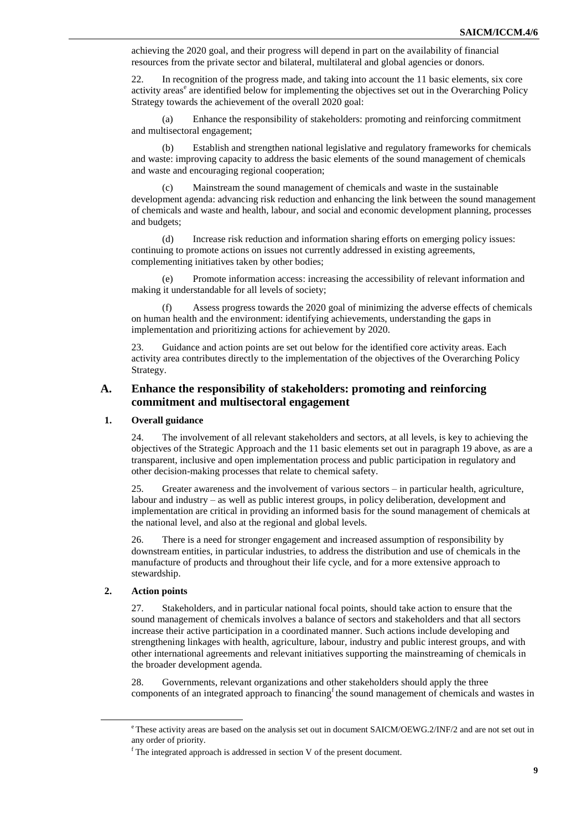achieving the 2020 goal, and their progress will depend in part on the availability of financial resources from the private sector and bilateral, multilateral and global agencies or donors.

22. In recognition of the progress made, and taking into account the 11 basic elements, six core activity areas<sup>e</sup> are identified below for implementing the objectives set out in the Overarching Policy Strategy towards the achievement of the overall 2020 goal:

(a) Enhance the responsibility of stakeholders: promoting and reinforcing commitment and multisectoral engagement;

(b) Establish and strengthen national legislative and regulatory frameworks for chemicals and waste: improving capacity to address the basic elements of the sound management of chemicals and waste and encouraging regional cooperation;

(c) Mainstream the sound management of chemicals and waste in the sustainable development agenda: advancing risk reduction and enhancing the link between the sound management of chemicals and waste and health, labour, and social and economic development planning, processes and budgets;

(d) Increase risk reduction and information sharing efforts on emerging policy issues: continuing to promote actions on issues not currently addressed in existing agreements, complementing initiatives taken by other bodies;

(e) Promote information access: increasing the accessibility of relevant information and making it understandable for all levels of society;

(f) Assess progress towards the 2020 goal of minimizing the adverse effects of chemicals on human health and the environment: identifying achievements, understanding the gaps in implementation and prioritizing actions for achievement by 2020.

23. Guidance and action points are set out below for the identified core activity areas. Each activity area contributes directly to the implementation of the objectives of the Overarching Policy Strategy.

### **A. Enhance the responsibility of stakeholders: promoting and reinforcing commitment and multisectoral engagement**

#### **1. Overall guidance**

24. The involvement of all relevant stakeholders and sectors, at all levels, is key to achieving the objectives of the Strategic Approach and the 11 basic elements set out in paragraph 19 above, as are a transparent, inclusive and open implementation process and public participation in regulatory and other decision-making processes that relate to chemical safety.

25. Greater awareness and the involvement of various sectors – in particular health, agriculture, labour and industry – as well as public interest groups, in policy deliberation, development and implementation are critical in providing an informed basis for the sound management of chemicals at the national level, and also at the regional and global levels.

26. There is a need for stronger engagement and increased assumption of responsibility by downstream entities, in particular industries, to address the distribution and use of chemicals in the manufacture of products and throughout their life cycle, and for a more extensive approach to stewardship.

#### **2. Action points**

 $\overline{\phantom{a}}$ 

27. Stakeholders, and in particular national focal points, should take action to ensure that the sound management of chemicals involves a balance of sectors and stakeholders and that all sectors increase their active participation in a coordinated manner. Such actions include developing and strengthening linkages with health, agriculture, labour, industry and public interest groups, and with other international agreements and relevant initiatives supporting the mainstreaming of chemicals in the broader development agenda.

28. Governments, relevant organizations and other stakeholders should apply the three components of an integrated approach to financing<sup>f</sup> the sound management of chemicals and wastes in

<sup>e</sup> These activity areas are based on the analysis set out in document SAICM/OEWG.2/INF/2 and are not set out in any order of priority.

 $\beta$ <sup>f</sup> The integrated approach is addressed in section V of the present document.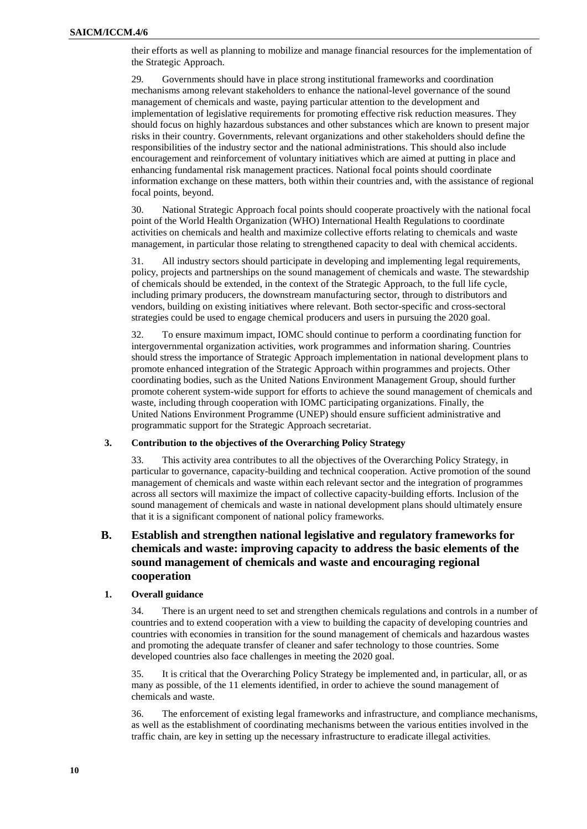their efforts as well as planning to mobilize and manage financial resources for the implementation of the Strategic Approach.

29. Governments should have in place strong institutional frameworks and coordination mechanisms among relevant stakeholders to enhance the national-level governance of the sound management of chemicals and waste, paying particular attention to the development and implementation of legislative requirements for promoting effective risk reduction measures. They should focus on highly hazardous substances and other substances which are known to present major risks in their country. Governments, relevant organizations and other stakeholders should define the responsibilities of the industry sector and the national administrations. This should also include encouragement and reinforcement of voluntary initiatives which are aimed at putting in place and enhancing fundamental risk management practices. National focal points should coordinate information exchange on these matters, both within their countries and, with the assistance of regional focal points, beyond.

30. National Strategic Approach focal points should cooperate proactively with the national focal point of the World Health Organization (WHO) International Health Regulations to coordinate activities on chemicals and health and maximize collective efforts relating to chemicals and waste management, in particular those relating to strengthened capacity to deal with chemical accidents.

31. All industry sectors should participate in developing and implementing legal requirements, policy, projects and partnerships on the sound management of chemicals and waste. The stewardship of chemicals should be extended, in the context of the Strategic Approach, to the full life cycle, including primary producers, the downstream manufacturing sector, through to distributors and vendors, building on existing initiatives where relevant. Both sector-specific and cross-sectoral strategies could be used to engage chemical producers and users in pursuing the 2020 goal.

32. To ensure maximum impact, IOMC should continue to perform a coordinating function for intergovernmental organization activities, work programmes and information sharing. Countries should stress the importance of Strategic Approach implementation in national development plans to promote enhanced integration of the Strategic Approach within programmes and projects. Other coordinating bodies, such as the United Nations Environment Management Group, should further promote coherent system-wide support for efforts to achieve the sound management of chemicals and waste, including through cooperation with IOMC participating organizations. Finally, the United Nations Environment Programme (UNEP) should ensure sufficient administrative and programmatic support for the Strategic Approach secretariat.

#### **3. Contribution to the objectives of the Overarching Policy Strategy**

33. This activity area contributes to all the objectives of the Overarching Policy Strategy, in particular to governance, capacity-building and technical cooperation. Active promotion of the sound management of chemicals and waste within each relevant sector and the integration of programmes across all sectors will maximize the impact of collective capacity-building efforts. Inclusion of the sound management of chemicals and waste in national development plans should ultimately ensure that it is a significant component of national policy frameworks.

## **B. Establish and strengthen national legislative and regulatory frameworks for chemicals and waste: improving capacity to address the basic elements of the sound management of chemicals and waste and encouraging regional cooperation**

#### **1. Overall guidance**

34. There is an urgent need to set and strengthen chemicals regulations and controls in a number of countries and to extend cooperation with a view to building the capacity of developing countries and countries with economies in transition for the sound management of chemicals and hazardous wastes and promoting the adequate transfer of cleaner and safer technology to those countries. Some developed countries also face challenges in meeting the 2020 goal.

35. It is critical that the Overarching Policy Strategy be implemented and, in particular, all, or as many as possible, of the 11 elements identified, in order to achieve the sound management of chemicals and waste.

36. The enforcement of existing legal frameworks and infrastructure, and compliance mechanisms, as well as the establishment of coordinating mechanisms between the various entities involved in the traffic chain, are key in setting up the necessary infrastructure to eradicate illegal activities.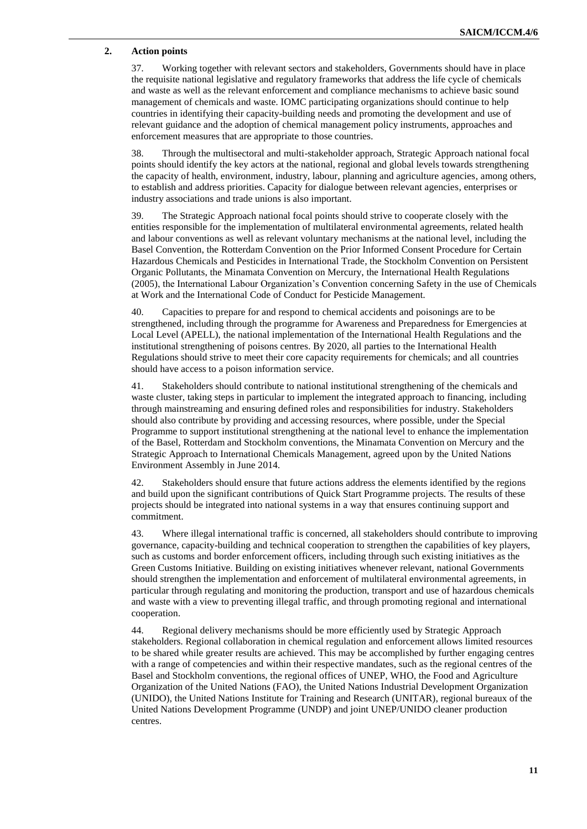### **2. Action points**

37. Working together with relevant sectors and stakeholders, Governments should have in place the requisite national legislative and regulatory frameworks that address the life cycle of chemicals and waste as well as the relevant enforcement and compliance mechanisms to achieve basic sound management of chemicals and waste. IOMC participating organizations should continue to help countries in identifying their capacity-building needs and promoting the development and use of relevant guidance and the adoption of chemical management policy instruments, approaches and enforcement measures that are appropriate to those countries.

38. Through the multisectoral and multi-stakeholder approach, Strategic Approach national focal points should identify the key actors at the national, regional and global levels towards strengthening the capacity of health, environment, industry, labour, planning and agriculture agencies, among others, to establish and address priorities. Capacity for dialogue between relevant agencies, enterprises or industry associations and trade unions is also important.

39. The Strategic Approach national focal points should strive to cooperate closely with the entities responsible for the implementation of multilateral environmental agreements, related health and labour conventions as well as relevant voluntary mechanisms at the national level, including the Basel Convention, the Rotterdam Convention on the Prior Informed Consent Procedure for Certain Hazardous Chemicals and Pesticides in International Trade, the Stockholm Convention on Persistent Organic Pollutants, the Minamata Convention on Mercury, the International Health Regulations (2005), the International Labour Organization's Convention concerning Safety in the use of Chemicals at Work and the International Code of Conduct for Pesticide Management.

40. Capacities to prepare for and respond to chemical accidents and poisonings are to be strengthened, including through the programme for Awareness and Preparedness for Emergencies at Local Level (APELL), the national implementation of the International Health Regulations and the institutional strengthening of poisons centres. By 2020, all parties to the International Health Regulations should strive to meet their core capacity requirements for chemicals; and all countries should have access to a poison information service.

41. Stakeholders should contribute to national institutional strengthening of the chemicals and waste cluster, taking steps in particular to implement the integrated approach to financing, including through mainstreaming and ensuring defined roles and responsibilities for industry. Stakeholders should also contribute by providing and accessing resources, where possible, under the Special Programme to support institutional strengthening at the national level to enhance the implementation of the Basel, Rotterdam and Stockholm conventions, the Minamata Convention on Mercury and the Strategic Approach to International Chemicals Management, agreed upon by the United Nations Environment Assembly in June 2014.

42. Stakeholders should ensure that future actions address the elements identified by the regions and build upon the significant contributions of Quick Start Programme projects. The results of these projects should be integrated into national systems in a way that ensures continuing support and commitment.

43. Where illegal international traffic is concerned, all stakeholders should contribute to improving governance, capacity-building and technical cooperation to strengthen the capabilities of key players, such as customs and border enforcement officers, including through such existing initiatives as the Green Customs Initiative. Building on existing initiatives whenever relevant, national Governments should strengthen the implementation and enforcement of multilateral environmental agreements, in particular through regulating and monitoring the production, transport and use of hazardous chemicals and waste with a view to preventing illegal traffic, and through promoting regional and international cooperation.

44. Regional delivery mechanisms should be more efficiently used by Strategic Approach stakeholders. Regional collaboration in chemical regulation and enforcement allows limited resources to be shared while greater results are achieved. This may be accomplished by further engaging centres with a range of competencies and within their respective mandates, such as the regional centres of the Basel and Stockholm conventions, the regional offices of UNEP, WHO, the Food and Agriculture Organization of the United Nations (FAO), the United Nations Industrial Development Organization (UNIDO), the United Nations Institute for Training and Research (UNITAR), regional bureaux of the United Nations Development Programme (UNDP) and joint UNEP/UNIDO cleaner production centres.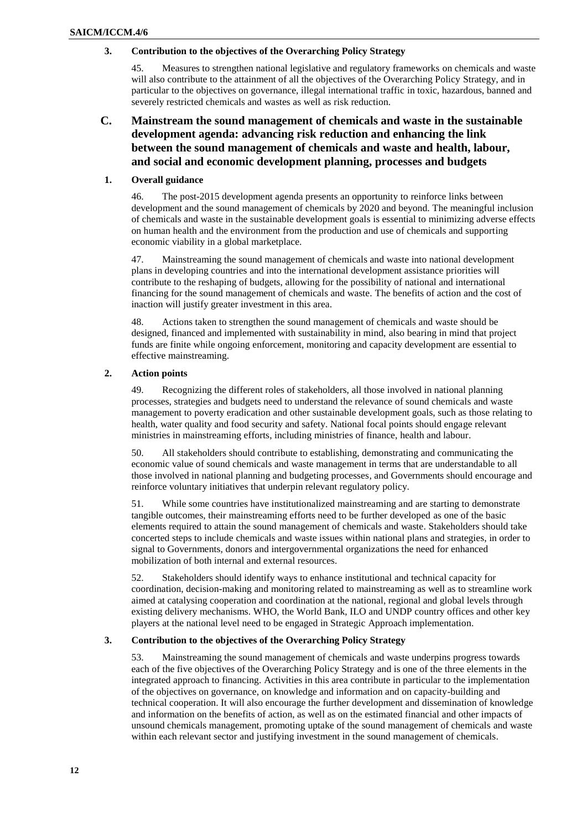### **3. Contribution to the objectives of the Overarching Policy Strategy**

45. Measures to strengthen national legislative and regulatory frameworks on chemicals and waste will also contribute to the attainment of all the objectives of the Overarching Policy Strategy, and in particular to the objectives on governance, illegal international traffic in toxic, hazardous, banned and severely restricted chemicals and wastes as well as risk reduction.

## **C. Mainstream the sound management of chemicals and waste in the sustainable development agenda: advancing risk reduction and enhancing the link between the sound management of chemicals and waste and health, labour, and social and economic development planning, processes and budgets**

### **1. Overall guidance**

46. The post-2015 development agenda presents an opportunity to reinforce links between development and the sound management of chemicals by 2020 and beyond. The meaningful inclusion of chemicals and waste in the sustainable development goals is essential to minimizing adverse effects on human health and the environment from the production and use of chemicals and supporting economic viability in a global marketplace.

47. Mainstreaming the sound management of chemicals and waste into national development plans in developing countries and into the international development assistance priorities will contribute to the reshaping of budgets, allowing for the possibility of national and international financing for the sound management of chemicals and waste. The benefits of action and the cost of inaction will justify greater investment in this area.

48. Actions taken to strengthen the sound management of chemicals and waste should be designed, financed and implemented with sustainability in mind, also bearing in mind that project funds are finite while ongoing enforcement, monitoring and capacity development are essential to effective mainstreaming.

### **2. Action points**

49. Recognizing the different roles of stakeholders, all those involved in national planning processes, strategies and budgets need to understand the relevance of sound chemicals and waste management to poverty eradication and other sustainable development goals, such as those relating to health, water quality and food security and safety. National focal points should engage relevant ministries in mainstreaming efforts, including ministries of finance, health and labour.

50. All stakeholders should contribute to establishing, demonstrating and communicating the economic value of sound chemicals and waste management in terms that are understandable to all those involved in national planning and budgeting processes, and Governments should encourage and reinforce voluntary initiatives that underpin relevant regulatory policy.

51. While some countries have institutionalized mainstreaming and are starting to demonstrate tangible outcomes, their mainstreaming efforts need to be further developed as one of the basic elements required to attain the sound management of chemicals and waste. Stakeholders should take concerted steps to include chemicals and waste issues within national plans and strategies, in order to signal to Governments, donors and intergovernmental organizations the need for enhanced mobilization of both internal and external resources.

52. Stakeholders should identify ways to enhance institutional and technical capacity for coordination, decision-making and monitoring related to mainstreaming as well as to streamline work aimed at catalysing cooperation and coordination at the national, regional and global levels through existing delivery mechanisms. WHO, the World Bank, ILO and UNDP country offices and other key players at the national level need to be engaged in Strategic Approach implementation.

### **3. Contribution to the objectives of the Overarching Policy Strategy**

53. Mainstreaming the sound management of chemicals and waste underpins progress towards each of the five objectives of the Overarching Policy Strategy and is one of the three elements in the integrated approach to financing. Activities in this area contribute in particular to the implementation of the objectives on governance, on knowledge and information and on capacity-building and technical cooperation. It will also encourage the further development and dissemination of knowledge and information on the benefits of action, as well as on the estimated financial and other impacts of unsound chemicals management, promoting uptake of the sound management of chemicals and waste within each relevant sector and justifying investment in the sound management of chemicals.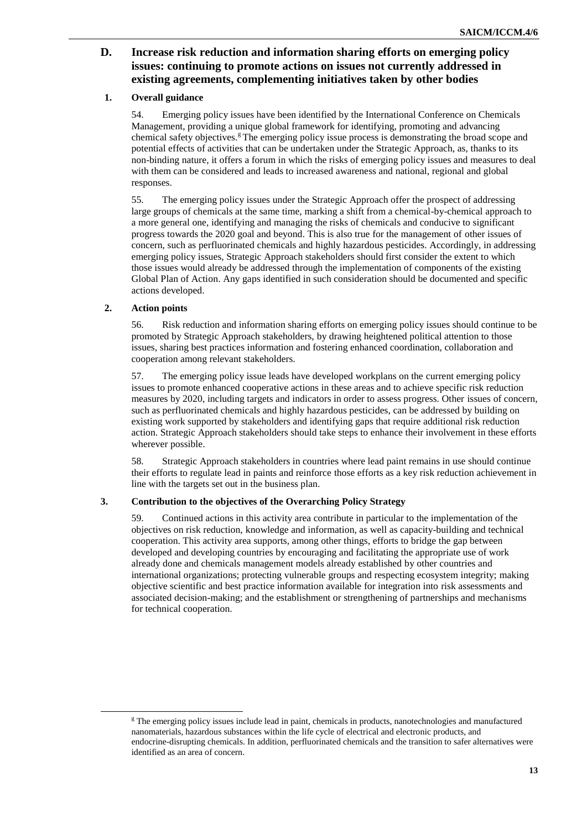## **D. Increase risk reduction and information sharing efforts on emerging policy issues: continuing to promote actions on issues not currently addressed in existing agreements, complementing initiatives taken by other bodies**

### **1. Overall guidance**

54. Emerging policy issues have been identified by the International Conference on Chemicals Management, providing a unique global framework for identifying, promoting and advancing chemical safety objectives.<sup>g</sup> The emerging policy issue process is demonstrating the broad scope and potential effects of activities that can be undertaken under the Strategic Approach, as, thanks to its non-binding nature, it offers a forum in which the risks of emerging policy issues and measures to deal with them can be considered and leads to increased awareness and national, regional and global responses.

55. The emerging policy issues under the Strategic Approach offer the prospect of addressing large groups of chemicals at the same time, marking a shift from a chemical-by-chemical approach to a more general one, identifying and managing the risks of chemicals and conducive to significant progress towards the 2020 goal and beyond. This is also true for the management of other issues of concern, such as perfluorinated chemicals and highly hazardous pesticides. Accordingly, in addressing emerging policy issues, Strategic Approach stakeholders should first consider the extent to which those issues would already be addressed through the implementation of components of the existing Global Plan of Action. Any gaps identified in such consideration should be documented and specific actions developed.

### **2. Action points**

 $\overline{a}$ 

56. Risk reduction and information sharing efforts on emerging policy issues should continue to be promoted by Strategic Approach stakeholders, by drawing heightened political attention to those issues, sharing best practices information and fostering enhanced coordination, collaboration and cooperation among relevant stakeholders.

57. The emerging policy issue leads have developed workplans on the current emerging policy issues to promote enhanced cooperative actions in these areas and to achieve specific risk reduction measures by 2020, including targets and indicators in order to assess progress. Other issues of concern, such as perfluorinated chemicals and highly hazardous pesticides, can be addressed by building on existing work supported by stakeholders and identifying gaps that require additional risk reduction action. Strategic Approach stakeholders should take steps to enhance their involvement in these efforts wherever possible.

58. Strategic Approach stakeholders in countries where lead paint remains in use should continue their efforts to regulate lead in paints and reinforce those efforts as a key risk reduction achievement in line with the targets set out in the business plan.

### **3. Contribution to the objectives of the Overarching Policy Strategy**

59. Continued actions in this activity area contribute in particular to the implementation of the objectives on risk reduction, knowledge and information, as well as capacity-building and technical cooperation. This activity area supports, among other things, efforts to bridge the gap between developed and developing countries by encouraging and facilitating the appropriate use of work already done and chemicals management models already established by other countries and international organizations; protecting vulnerable groups and respecting ecosystem integrity; making objective scientific and best practice information available for integration into risk assessments and associated decision-making; and the establishment or strengthening of partnerships and mechanisms for technical cooperation.

<sup>&</sup>lt;sup>g</sup> The emerging policy issues include lead in paint, chemicals in products, nanotechnologies and manufactured nanomaterials, hazardous substances within the life cycle of electrical and electronic products, and endocrine-disrupting chemicals. In addition, perfluorinated chemicals and the transition to safer alternatives were identified as an area of concern.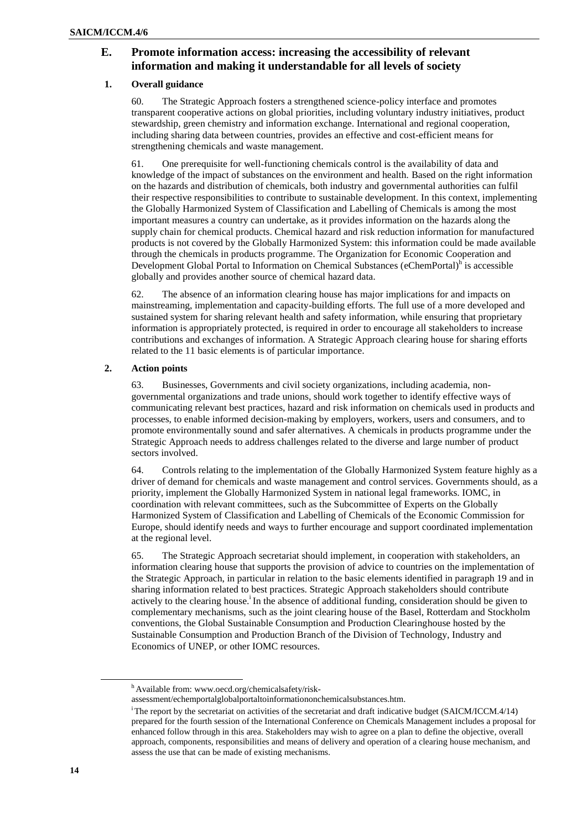### **E. Promote information access: increasing the accessibility of relevant information and making it understandable for all levels of society**

#### **1. Overall guidance**

60. The Strategic Approach fosters a strengthened science-policy interface and promotes transparent cooperative actions on global priorities, including voluntary industry initiatives, product stewardship, green chemistry and information exchange. International and regional cooperation, including sharing data between countries, provides an effective and cost-efficient means for strengthening chemicals and waste management.

61. One prerequisite for well-functioning chemicals control is the availability of data and knowledge of the impact of substances on the environment and health. Based on the right information on the hazards and distribution of chemicals, both industry and governmental authorities can fulfil their respective responsibilities to contribute to sustainable development. In this context, implementing the Globally Harmonized System of Classification and Labelling of Chemicals is among the most important measures a country can undertake, as it provides information on the hazards along the supply chain for chemical products. Chemical hazard and risk reduction information for manufactured products is not covered by the Globally Harmonized System: this information could be made available through the chemicals in products programme. The Organization for Economic Cooperation and Development Global Portal to Information on Chemical Substances (eChemPortal)<sup>h</sup> is accessible globally and provides another source of chemical hazard data.

62. The absence of an information clearing house has major implications for and impacts on mainstreaming, implementation and capacity-building efforts. The full use of a more developed and sustained system for sharing relevant health and safety information, while ensuring that proprietary information is appropriately protected, is required in order to encourage all stakeholders to increase contributions and exchanges of information. A Strategic Approach clearing house for sharing efforts related to the 11 basic elements is of particular importance.

#### **2. Action points**

63. Businesses, Governments and civil society organizations, including academia, nongovernmental organizations and trade unions, should work together to identify effective ways of communicating relevant best practices, hazard and risk information on chemicals used in products and processes, to enable informed decision-making by employers, workers, users and consumers, and to promote environmentally sound and safer alternatives. A chemicals in products programme under the Strategic Approach needs to address challenges related to the diverse and large number of product sectors involved.

64. Controls relating to the implementation of the Globally Harmonized System feature highly as a driver of demand for chemicals and waste management and control services. Governments should, as a priority, implement the Globally Harmonized System in national legal frameworks. IOMC, in coordination with relevant committees, such as the Subcommittee of Experts on the Globally Harmonized System of Classification and Labelling of Chemicals of the Economic Commission for Europe, should identify needs and ways to further encourage and support coordinated implementation at the regional level.

65. The Strategic Approach secretariat should implement, in cooperation with stakeholders, an information clearing house that supports the provision of advice to countries on the implementation of the Strategic Approach, in particular in relation to the basic elements identified in paragraph 19 and in sharing information related to best practices. Strategic Approach stakeholders should contribute actively to the clearing house.<sup>i</sup> In the absence of additional funding, consideration should be given to complementary mechanisms, such as the joint clearing house of the Basel, Rotterdam and Stockholm conventions, the Global Sustainable Consumption and Production Clearinghouse hosted by the Sustainable Consumption and Production Branch of the Division of Technology, Industry and Economics of UNEP, or other IOMC resources.

<sup>h</sup> Available from: [www.oecd.org/chemicalsafety/risk-](http://www.oecd.org/chemicalsafety/risk-assessment/echemportalglobalportaltoinformationonchemicalsubstances.htm)

[assessment/echemportalglobalportaltoinformationonchemicalsubstances.htm.](http://www.oecd.org/chemicalsafety/risk-assessment/echemportalglobalportaltoinformationonchemicalsubstances.htm) 

<sup>&</sup>lt;sup>i</sup>The report by the secretariat on activities of the secretariat and draft indicative budget (SAICM/ICCM.4/14) prepared for the fourth session of the International Conference on Chemicals Management includes a proposal for enhanced follow through in this area. Stakeholders may wish to agree on a plan to define the objective, overall approach, components, responsibilities and means of delivery and operation of a clearing house mechanism, and assess the use that can be made of existing mechanisms.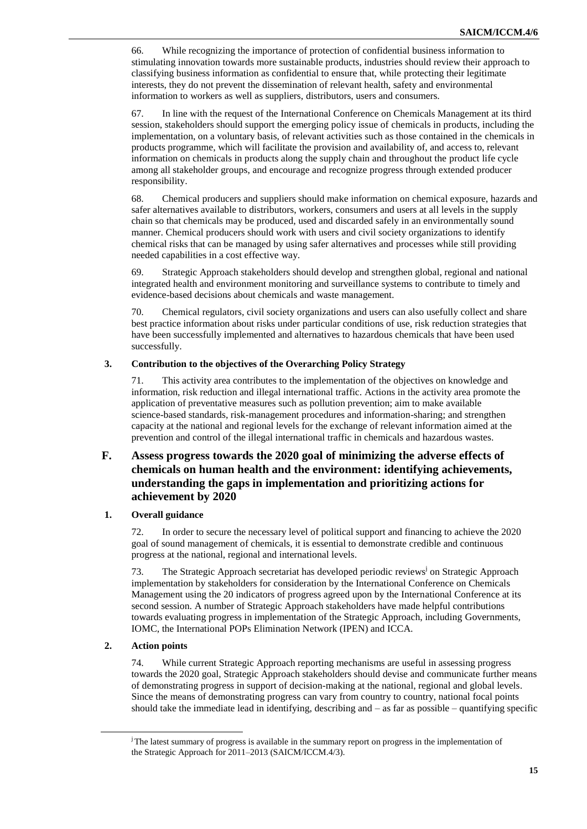66. While recognizing the importance of protection of confidential business information to stimulating innovation towards more sustainable products, industries should review their approach to classifying business information as confidential to ensure that, while protecting their legitimate interests, they do not prevent the dissemination of relevant health, safety and environmental information to workers as well as suppliers, distributors, users and consumers.

67. In line with the request of the International Conference on Chemicals Management at its third session, stakeholders should support the emerging policy issue of chemicals in products, including the implementation, on a voluntary basis, of relevant activities such as those contained in the chemicals in products programme, which will facilitate the provision and availability of, and access to, relevant information on chemicals in products along the supply chain and throughout the product life cycle among all stakeholder groups, and encourage and recognize progress through extended producer responsibility.

68. Chemical producers and suppliers should make information on chemical exposure, hazards and safer alternatives available to distributors, workers, consumers and users at all levels in the supply chain so that chemicals may be produced, used and discarded safely in an environmentally sound manner. Chemical producers should work with users and civil society organizations to identify chemical risks that can be managed by using safer alternatives and processes while still providing needed capabilities in a cost effective way.

69. Strategic Approach stakeholders should develop and strengthen global, regional and national integrated health and environment monitoring and surveillance systems to contribute to timely and evidence-based decisions about chemicals and waste management.

70. Chemical regulators, civil society organizations and users can also usefully collect and share best practice information about risks under particular conditions of use, risk reduction strategies that have been successfully implemented and alternatives to hazardous chemicals that have been used successfully.

#### **3. Contribution to the objectives of the Overarching Policy Strategy**

71. This activity area contributes to the implementation of the objectives on knowledge and information, risk reduction and illegal international traffic. Actions in the activity area promote the application of preventative measures such as pollution prevention; aim to make available science-based standards, risk-management procedures and information-sharing; and strengthen capacity at the national and regional levels for the exchange of relevant information aimed at the prevention and control of the illegal international traffic in chemicals and hazardous wastes.

## **F. Assess progress towards the 2020 goal of minimizing the adverse effects of chemicals on human health and the environment: identifying achievements, understanding the gaps in implementation and prioritizing actions for achievement by 2020**

### **1. Overall guidance**

72. In order to secure the necessary level of political support and financing to achieve the 2020 goal of sound management of chemicals, it is essential to demonstrate credible and continuous progress at the national, regional and international levels.

73. The Strategic Approach secretariat has developed periodic reviews<sup>j</sup> on Strategic Approach implementation by stakeholders for consideration by the International Conference on Chemicals Management using the 20 indicators of progress agreed upon by the International Conference at its second session. A number of Strategic Approach stakeholders have made helpful contributions towards evaluating progress in implementation of the Strategic Approach, including Governments, IOMC, the International POPs Elimination Network (IPEN) and ICCA.

### **2. Action points**

 $\overline{\phantom{a}}$ 

74. While current Strategic Approach reporting mechanisms are useful in assessing progress towards the 2020 goal, Strategic Approach stakeholders should devise and communicate further means of demonstrating progress in support of decision-making at the national, regional and global levels. Since the means of demonstrating progress can vary from country to country, national focal points should take the immediate lead in identifying, describing and – as far as possible – quantifying specific

 $j$ The latest summary of progress is available in the summary report on progress in the implementation of the Strategic Approach for 2011–2013 (SAICM/ICCM.4/3).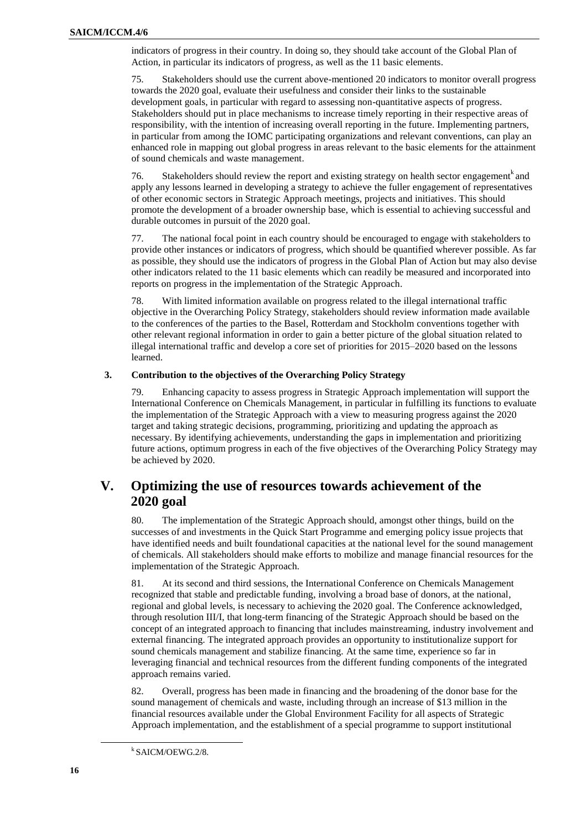indicators of progress in their country. In doing so, they should take account of the Global Plan of Action, in particular its indicators of progress, as well as the 11 basic elements.

75. Stakeholders should use the current above-mentioned 20 indicators to monitor overall progress towards the 2020 goal, evaluate their usefulness and consider their links to the sustainable development goals, in particular with regard to assessing non-quantitative aspects of progress. Stakeholders should put in place mechanisms to increase timely reporting in their respective areas of responsibility, with the intention of increasing overall reporting in the future. Implementing partners, in particular from among the IOMC participating organizations and relevant conventions, can play an enhanced role in mapping out global progress in areas relevant to the basic elements for the attainment of sound chemicals and waste management.

76. Stakeholders should review the report and existing strategy on health sector engagement<sup>k</sup> and apply any lessons learned in developing a strategy to achieve the fuller engagement of representatives of other economic sectors in Strategic Approach meetings, projects and initiatives. This should promote the development of a broader ownership base, which is essential to achieving successful and durable outcomes in pursuit of the 2020 goal.

77. The national focal point in each country should be encouraged to engage with stakeholders to provide other instances or indicators of progress, which should be quantified wherever possible. As far as possible, they should use the indicators of progress in the Global Plan of Action but may also devise other indicators related to the 11 basic elements which can readily be measured and incorporated into reports on progress in the implementation of the Strategic Approach.

78. With limited information available on progress related to the illegal international traffic objective in the Overarching Policy Strategy, stakeholders should review information made available to the conferences of the parties to the Basel, Rotterdam and Stockholm conventions together with other relevant regional information in order to gain a better picture of the global situation related to illegal international traffic and develop a core set of priorities for 2015–2020 based on the lessons learned.

#### **3. Contribution to the objectives of the Overarching Policy Strategy**

79. Enhancing capacity to assess progress in Strategic Approach implementation will support the International Conference on Chemicals Management, in particular in fulfilling its functions to evaluate the implementation of the Strategic Approach with a view to measuring progress against the 2020 target and taking strategic decisions, programming, prioritizing and updating the approach as necessary. By identifying achievements, understanding the gaps in implementation and prioritizing future actions, optimum progress in each of the five objectives of the Overarching Policy Strategy may be achieved by 2020.

# **V. Optimizing the use of resources towards achievement of the 2020 goal**

80. The implementation of the Strategic Approach should, amongst other things, build on the successes of and investments in the Quick Start Programme and emerging policy issue projects that have identified needs and built foundational capacities at the national level for the sound management of chemicals. All stakeholders should make efforts to mobilize and manage financial resources for the implementation of the Strategic Approach.

81. At its second and third sessions, the International Conference on Chemicals Management recognized that stable and predictable funding, involving a broad base of donors, at the national, regional and global levels, is necessary to achieving the 2020 goal. The Conference acknowledged, through resolution III/I, that long-term financing of the Strategic Approach should be based on the concept of an integrated approach to financing that includes mainstreaming, industry involvement and external financing. The integrated approach provides an opportunity to institutionalize support for sound chemicals management and stabilize financing. At the same time, experience so far in leveraging financial and technical resources from the different funding components of the integrated approach remains varied.

82. Overall, progress has been made in financing and the broadening of the donor base for the sound management of chemicals and waste, including through an increase of \$13 million in the financial resources available under the Global Environment Facility for all aspects of Strategic Approach implementation, and the establishment of a special programme to support institutional

k SAICM/OEWG.2/8.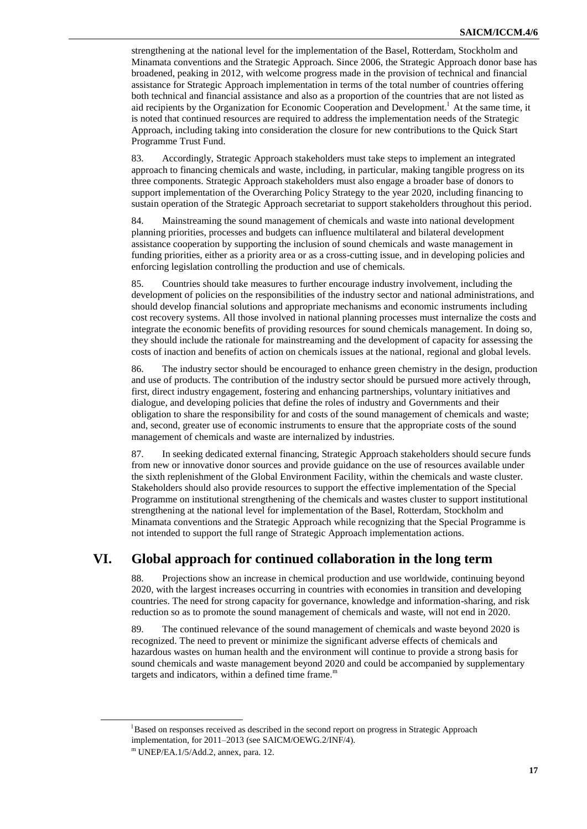strengthening at the national level for the implementation of the Basel, Rotterdam, Stockholm and Minamata conventions and the Strategic Approach. Since 2006, the Strategic Approach donor base has broadened, peaking in 2012, with welcome progress made in the provision of technical and financial assistance for Strategic Approach implementation in terms of the total number of countries offering both technical and financial assistance and also as a proportion of the countries that are not listed as aid recipients by the Organization for Economic Cooperation and Development.<sup>1</sup> At the same time, it is noted that continued resources are required to address the implementation needs of the Strategic Approach, including taking into consideration the closure for new contributions to the Quick Start Programme Trust Fund.

83. Accordingly, Strategic Approach stakeholders must take steps to implement an integrated approach to financing chemicals and waste, including, in particular, making tangible progress on its three components. Strategic Approach stakeholders must also engage a broader base of donors to support implementation of the Overarching Policy Strategy to the year 2020, including financing to sustain operation of the Strategic Approach secretariat to support stakeholders throughout this period.

84. Mainstreaming the sound management of chemicals and waste into national development planning priorities, processes and budgets can influence multilateral and bilateral development assistance cooperation by supporting the inclusion of sound chemicals and waste management in funding priorities, either as a priority area or as a cross-cutting issue, and in developing policies and enforcing legislation controlling the production and use of chemicals.

85. Countries should take measures to further encourage industry involvement, including the development of policies on the responsibilities of the industry sector and national administrations, and should develop financial solutions and appropriate mechanisms and economic instruments including cost recovery systems. All those involved in national planning processes must internalize the costs and integrate the economic benefits of providing resources for sound chemicals management. In doing so, they should include the rationale for mainstreaming and the development of capacity for assessing the costs of inaction and benefits of action on chemicals issues at the national, regional and global levels.

86. The industry sector should be encouraged to enhance green chemistry in the design, production and use of products. The contribution of the industry sector should be pursued more actively through, first, direct industry engagement, fostering and enhancing partnerships, voluntary initiatives and dialogue, and developing policies that define the roles of industry and Governments and their obligation to share the responsibility for and costs of the sound management of chemicals and waste; and, second, greater use of economic instruments to ensure that the appropriate costs of the sound management of chemicals and waste are internalized by industries.

87. In seeking dedicated external financing, Strategic Approach stakeholders should secure funds from new or innovative donor sources and provide guidance on the use of resources available under the sixth replenishment of the Global Environment Facility, within the chemicals and waste cluster. Stakeholders should also provide resources to support the effective implementation of the Special Programme on institutional strengthening of the chemicals and wastes cluster to support institutional strengthening at the national level for implementation of the Basel, Rotterdam, Stockholm and Minamata conventions and the Strategic Approach while recognizing that the Special Programme is not intended to support the full range of Strategic Approach implementation actions.

# **VI. Global approach for continued collaboration in the long term**

88. Projections show an increase in chemical production and use worldwide, continuing beyond 2020, with the largest increases occurring in countries with economies in transition and developing countries. The need for strong capacity for governance, knowledge and information-sharing, and risk reduction so as to promote the sound management of chemicals and waste, will not end in 2020.

89. The continued relevance of the sound management of chemicals and waste beyond 2020 is recognized. The need to prevent or minimize the significant adverse effects of chemicals and hazardous wastes on human health and the environment will continue to provide a strong basis for sound chemicals and waste management beyond 2020 and could be accompanied by supplementary targets and indicators, within a defined time frame. $<sup>m</sup>$ </sup>

 $\overline{\phantom{a}}$ 

<sup>&</sup>lt;sup>1</sup>Based on responses received as described in the second report on progress in Strategic Approach implementation, for 2011–2013 (see SAICM/OEWG.2/INF/4).

 $<sup>m</sup> UNEP/EA.1/5/Add.2$ , annex, para. 12.</sup>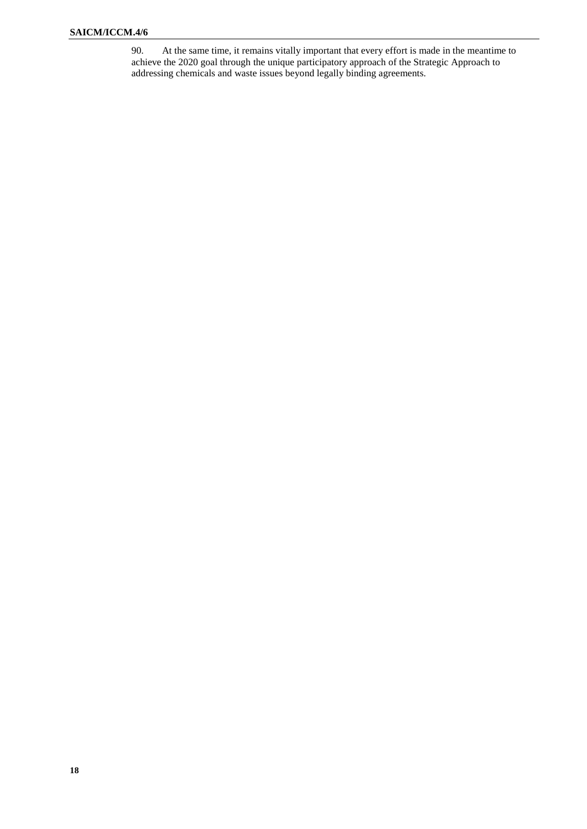90. At the same time, it remains vitally important that every effort is made in the meantime to achieve the 2020 goal through the unique participatory approach of the Strategic Approach to addressing chemicals and waste issues beyond legally binding agreements.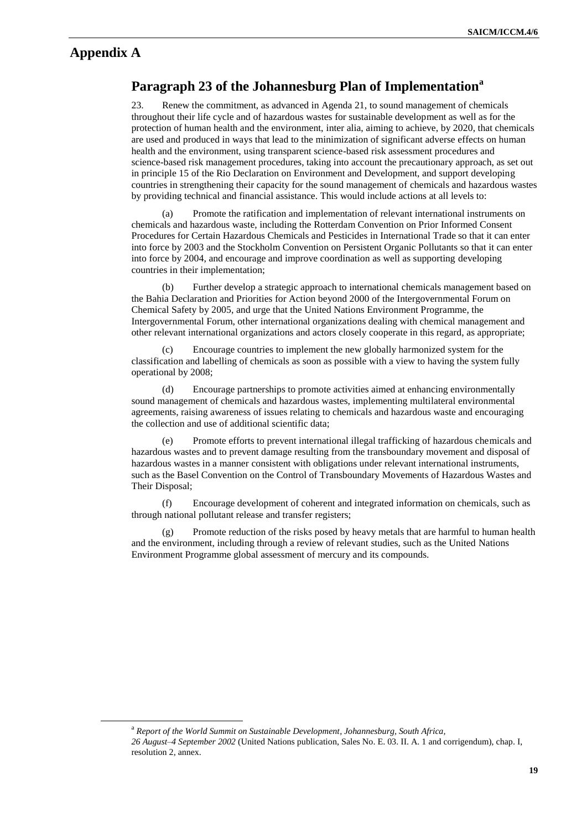# **Appendix A**

 $\overline{a}$ 

## **Paragraph 23 of the Johannesburg Plan of Implementation<sup>a</sup>**

23. Renew the commitment, as advanced in Agenda 21, to sound management of chemicals throughout their life cycle and of hazardous wastes for sustainable development as well as for the protection of human health and the environment, inter alia, aiming to achieve, by 2020, that chemicals are used and produced in ways that lead to the minimization of significant adverse effects on human health and the environment, using transparent science-based risk assessment procedures and science-based risk management procedures, taking into account the precautionary approach, as set out in principle 15 of the Rio Declaration on Environment and Development, and support developing countries in strengthening their capacity for the sound management of chemicals and hazardous wastes by providing technical and financial assistance. This would include actions at all levels to:

(a) Promote the ratification and implementation of relevant international instruments on chemicals and hazardous waste, including the Rotterdam Convention on Prior Informed Consent Procedures for Certain Hazardous Chemicals and Pesticides in International Trade so that it can enter into force by 2003 and the Stockholm Convention on Persistent Organic Pollutants so that it can enter into force by 2004, and encourage and improve coordination as well as supporting developing countries in their implementation;

(b) Further develop a strategic approach to international chemicals management based on the Bahia Declaration and Priorities for Action beyond 2000 of the Intergovernmental Forum on Chemical Safety by 2005, and urge that the United Nations Environment Programme, the Intergovernmental Forum, other international organizations dealing with chemical management and other relevant international organizations and actors closely cooperate in this regard, as appropriate;

(c) Encourage countries to implement the new globally harmonized system for the classification and labelling of chemicals as soon as possible with a view to having the system fully operational by 2008;

(d) Encourage partnerships to promote activities aimed at enhancing environmentally sound management of chemicals and hazardous wastes, implementing multilateral environmental agreements, raising awareness of issues relating to chemicals and hazardous waste and encouraging the collection and use of additional scientific data;

Promote efforts to prevent international illegal trafficking of hazardous chemicals and hazardous wastes and to prevent damage resulting from the transboundary movement and disposal of hazardous wastes in a manner consistent with obligations under relevant international instruments, such as the Basel Convention on the Control of Transboundary Movements of Hazardous Wastes and Their Disposal;

(f) Encourage development of coherent and integrated information on chemicals, such as through national pollutant release and transfer registers;

(g) Promote reduction of the risks posed by heavy metals that are harmful to human health and the environment, including through a review of relevant studies, such as the United Nations Environment Programme global assessment of mercury and its compounds.

<sup>a</sup> Report of the World Summit on Sustainable Development, Johannesburg, South Africa,

*26 August–4 September 2002* (United Nations publication, Sales No. E. 03. II. A. 1 and corrigendum), chap. I, resolution 2, annex.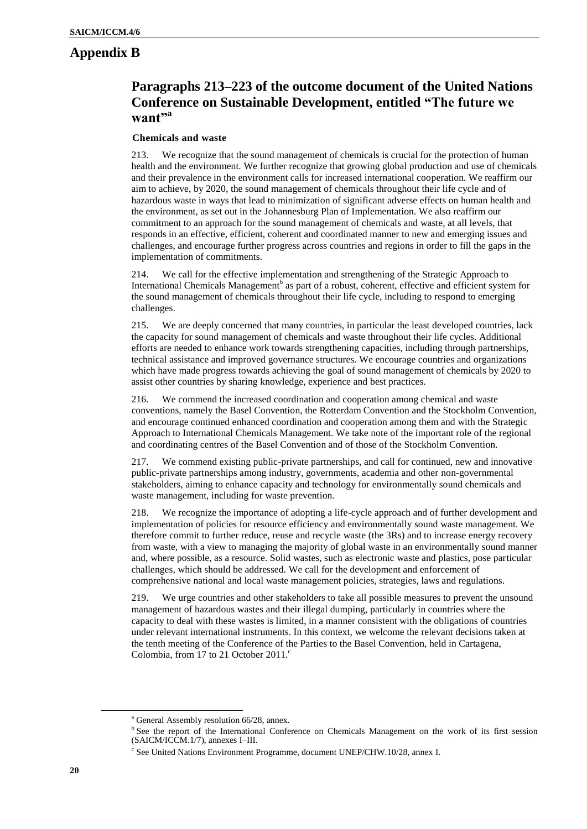# **Appendix B**

# **Paragraphs 213–223 of the outcome document of the United Nations Conference on Sustainable Development, entitled "The future we want"<sup>a</sup>**

#### **Chemicals and waste**

213. We recognize that the sound management of chemicals is crucial for the protection of human health and the environment. We further recognize that growing global production and use of chemicals and their prevalence in the environment calls for increased international cooperation. We reaffirm our aim to achieve, by 2020, the sound management of chemicals throughout their life cycle and of hazardous waste in ways that lead to minimization of significant adverse effects on human health and the environment, as set out in the Johannesburg Plan of Implementation. We also reaffirm our commitment to an approach for the sound management of chemicals and waste, at all levels, that responds in an effective, efficient, coherent and coordinated manner to new and emerging issues and challenges, and encourage further progress across countries and regions in order to fill the gaps in the implementation of commitments.

214. We call for the effective implementation and strengthening of the Strategic Approach to International Chemicals Management<sup>b</sup> as part of a robust, coherent, effective and efficient system for the sound management of chemicals throughout their life cycle, including to respond to emerging challenges.

215. We are deeply concerned that many countries, in particular the least developed countries, lack the capacity for sound management of chemicals and waste throughout their life cycles. Additional efforts are needed to enhance work towards strengthening capacities, including through partnerships, technical assistance and improved governance structures. We encourage countries and organizations which have made progress towards achieving the goal of sound management of chemicals by 2020 to assist other countries by sharing knowledge, experience and best practices.

216. We commend the increased coordination and cooperation among chemical and waste conventions, namely the Basel Convention, the Rotterdam Convention and the Stockholm Convention, and encourage continued enhanced coordination and cooperation among them and with the Strategic Approach to International Chemicals Management. We take note of the important role of the regional and coordinating centres of the Basel Convention and of those of the Stockholm Convention.

217. We commend existing public-private partnerships, and call for continued, new and innovative public-private partnerships among industry, governments, academia and other non-governmental stakeholders, aiming to enhance capacity and technology for environmentally sound chemicals and waste management, including for waste prevention.

218. We recognize the importance of adopting a life-cycle approach and of further development and implementation of policies for resource efficiency and environmentally sound waste management. We therefore commit to further reduce, reuse and recycle waste (the 3Rs) and to increase energy recovery from waste, with a view to managing the majority of global waste in an environmentally sound manner and, where possible, as a resource. Solid wastes, such as electronic waste and plastics, pose particular challenges, which should be addressed. We call for the development and enforcement of comprehensive national and local waste management policies, strategies, laws and regulations.

219. We urge countries and other stakeholders to take all possible measures to prevent the unsound management of hazardous wastes and their illegal dumping, particularly in countries where the capacity to deal with these wastes is limited, in a manner consistent with the obligations of countries under relevant international instruments. In this context, we welcome the relevant decisions taken at the tenth meeting of the Conference of the Parties to the Basel Convention, held in Cartagena, Colombia, from 17 to 21 October  $2011$ .<sup>c</sup>

<sup>&</sup>lt;sup>a</sup> General Assembly resolution 66/28, annex.

<sup>&</sup>lt;sup>b</sup> See the report of the International Conference on Chemicals Management on the work of its first session (SAICM/ICCM.1/7), annexes I–III.

c See United Nations Environment Programme, document UNEP/CHW.10/28, annex I.